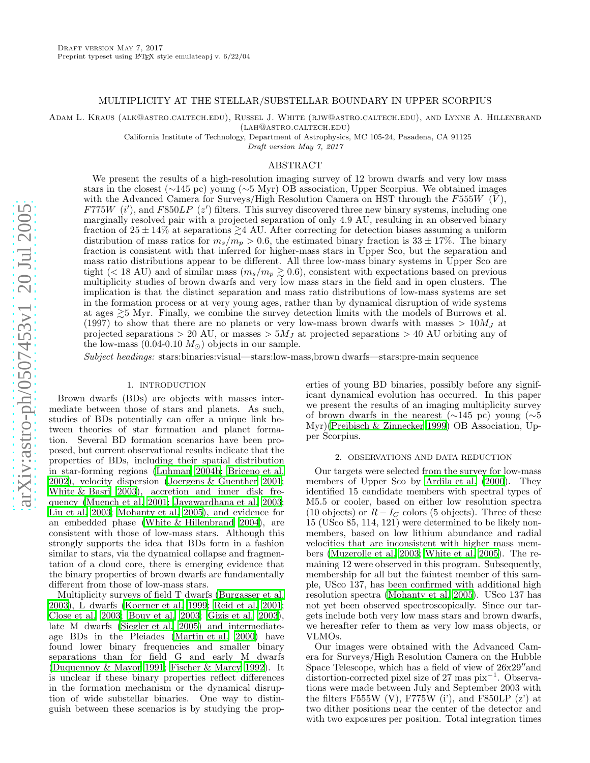### MULTIPLICITY AT THE STELLAR/SUBSTELLAR BOUNDARY IN UPPER SCORPIUS

Adam L. Kraus (alk@astro.caltech.edu), Russel J. White (rjw@astro.caltech.edu), and Lynne A. Hillenbrand (lah@astro.caltech.edu)

California Institute of Technology, Department of Astrophysics, MC 105-24, Pasadena, CA 91125

Draft version May 7, 2017

#### ABSTRACT

We present the results of a high-resolution imaging survey of 12 brown dwarfs and very low mass stars in the closest (~145 pc) young (~5 Myr) OB association, Upper Scorpius. We obtained images with the Advanced Camera for Surveys/High Resolution Camera on HST through the  $F555W$  (V), F775W  $(i')$ , and F850LP  $(z')$  filters. This survey discovered three new binary systems, including one marginally resolved pair with a projected separation of only 4.9 AU, resulting in an observed binary fraction of  $25 \pm 14\%$  at separations  $\gtrsim$  4 AU. After correcting for detection biases assuming a uniform distribution of mass ratios for  $m_s/\widetilde{m_p} > 0.6$ , the estimated binary fraction is  $33 \pm 17\%$ . The binary fraction is consistent with that inferred for higher-mass stars in Upper Sco, but the separation and mass ratio distributions appear to be different. All three low-mass binary systems in Upper Sco are tight (< 18 AU) and of similar mass  $(m_s/m_p \gtrsim 0.6)$ , consistent with expectations based on previous multiplicity studies of brown dwarfs and very low mass stars in the field and in open clusters. The implication is that the distinct separation and mass ratio distributions of low-mass systems are set in the formation process or at very young ages, rather than by dynamical disruption of wide systems at ages  $\gtrsim$ 5 Myr. Finally, we combine the survey detection limits with the models of Burrows et al. (1997) to show that there are no planets or very low-mass brown dwarfs with masses  $> 10M_J$  at projected separations  $> 20$  AU, or masses  $> 5M_J$  at projected separations  $> 40$  AU orbiting any of the low-mass  $(0.04{\text -}0.10 M_{\odot})$  objects in our sample.

Subject headings: stars:binaries:visual—stars:low-mass,brown dwarfs—stars:pre-main sequence

# 1. INTRODUCTION

Brown dwarfs (BDs) are objects with masses intermediate between those of stars and planets. As such, studies of BDs potentially can offer a unique link between theories of star formation and planet formation. Several BD formation scenarios have been proposed, but current observational results indicate that the properties of BDs, including their spatial distribution in star-forming regions [\(Luhman 2004b;](#page-5-0) [Briceno et al.](#page-5-1) [2002\)](#page-5-1), velocity dispersion [\(Joergens & Guenther 2001;](#page-5-2) [White & Basri 2003\)](#page-5-3), accretion and inner disk frequency [\(Muench et al. 2001;](#page-5-4) [Jayawardhana et al. 2003;](#page-5-5) [Liu et al. 2003;](#page-5-6) [Mohanty et al. 2005\)](#page-5-7), and evidence for an embedded phase [\(White & Hillenbrand 2004\)](#page-5-8), are consistent with those of low-mass stars. Although this strongly supports the idea that BDs form in a fashion similar to stars, via the dynamical collapse and fragmentation of a cloud core, there is emerging evidence that the binary properties of brown dwarfs are fundamentally different from those of low-mass stars.

Multiplicity surveys of field T dwarfs [\(Burgasser et al.](#page-5-9) [2003\)](#page-5-9), L dwarfs [\(Koerner et al. 1999;](#page-5-10) [Reid et al. 2001;](#page-5-11) [Close et al. 2003](#page-5-12); [Bouy et al. 2003;](#page-5-13) [Gizis et al. 2003\)](#page-5-14), late M dwarfs [\(Siegler et al. 2005\)](#page-5-15) and intermediateage BDs in the Pleiades [\(Martin et al. 2000\)](#page-5-16) have found lower binary frequencies and smaller binary separations than for field G and early M dwarfs [\(Duquennoy & Mayor 1991](#page-5-17); [Fischer & Marcy 1992\)](#page-5-18). It is unclear if these binary properties reflect differences in the formation mechanism or the dynamical disruption of wide substellar binaries. One way to distinguish between these scenarios is by studying the properties of young BD binaries, possibly before any significant dynamical evolution has occurred. In this paper we present the results of an imaging multiplicity survey of brown dwarfs in the nearest  $(\sim 145 \text{ pc})$  young  $(\sim 5$ Myr)[\(Preibisch & Zinnecker 1999](#page-5-19)) OB Association, Upper Scorpius.

#### 2. OBSERVATIONS AND DATA REDUCTION

Our targets were selected from the survey for low-mass members of Upper Sco by [Ardila et al. \(2000\)](#page-5-20). They identified 15 candidate members with spectral types of M5.5 or cooler, based on either low resolution spectra (10 objects) or  $R - I_C$  colors (5 objects). Three of these 15 (USco 85, 114, 121) were determined to be likely nonmembers, based on low lithium abundance and radial velocities that are inconsistent with higher mass members [\(Muzerolle et al. 2003;](#page-5-21) [White et al. 2005](#page-5-22)). The remaining 12 were observed in this program. Subsequently, membership for all but the faintest member of this sample, USco 137, has been confirmed with additional high resolution spectra [\(Mohanty et al. 2005\)](#page-5-7). USco 137 has not yet been observed spectroscopically. Since our targets include both very low mass stars and brown dwarfs, we hereafter refer to them as very low mass objects, or VLMOs.

Our images were obtained with the Advanced Camera for Surveys/High Resolution Camera on the Hubble Space Telescope, which has a field of view of  $26x29''$  and distortion-corrected pixel size of 27 mas pix<sup>-1</sup>. Observations were made between July and September 2003 with the filters F555W  $(V)$ , F775W  $(i')$ , and F850LP  $(z')$  at two dither positions near the center of the detector and with two exposures per position. Total integration times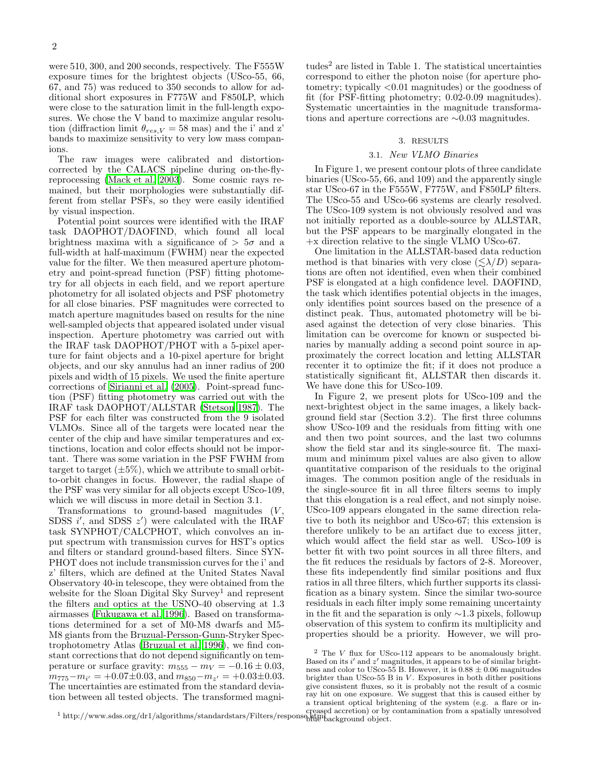were 510, 300, and 200 seconds, respectively. The F555W exposure times for the brightest objects (USco-55, 66, 67, and 75) was reduced to 350 seconds to allow for additional short exposures in F775W and F850LP, which were close to the saturation limit in the full-length exposures. We chose the V band to maximize angular resolution (diffraction limit  $\theta_{res,V} = 58$  mas) and the i' and z' bands to maximize sensitivity to very low mass companions.

The raw images were calibrated and distortioncorrected by the CALACS pipeline during on-the-flyreprocessing [\(Mack et al. 2003\)](#page-5-23). Some cosmic rays remained, but their morphologies were substantially different from stellar PSFs, so they were easily identified by visual inspection.

Potential point sources were identified with the IRAF task DAOPHOT/DAOFIND, which found all local brightness maxima with a significance of  $> 5\sigma$  and a full-width at half-maximum (FWHM) near the expected value for the filter. We then measured aperture photometry and point-spread function (PSF) fitting photometry for all objects in each field, and we report aperture photometry for all isolated objects and PSF photometry for all close binaries. PSF magnitudes were corrected to match aperture magnitudes based on results for the nine well-sampled objects that appeared isolated under visual inspection. Aperture photometry was carried out with the IRAF task DAOPHOT/PHOT with a 5-pixel aperture for faint objects and a 10-pixel aperture for bright objects, and our sky annulus had an inner radius of 200 pixels and width of 15 pixels. We used the finite aperture corrections of [Sirianni et al. \(2005](#page-5-24)). Point-spread function (PSF) fitting photometry was carried out with the IRAF task DAOPHOT/ALLSTAR [\(Stetson 1987\)](#page-5-25). The PSF for each filter was constructed from the 9 isolated VLMOs. Since all of the targets were located near the center of the chip and have similar temperatures and extinctions, location and color effects should not be important. There was some variation in the PSF FWHM from target to target  $(\pm 5\%)$ , which we attribute to small orbitto-orbit changes in focus. However, the radial shape of the PSF was very similar for all objects except USco-109, which we will discuss in more detail in Section 3.1.

Transformations to ground-based magnitudes  $(V,$ SDSS  $i'$ , and SDSS  $z'$ ) were calculated with the IRAF task SYNPHOT/CALCPHOT, which convolves an input spectrum with transmission curves for HST's optics and filters or standard ground-based filters. Since SYN-PHOT does not include transmission curves for the i' and z' filters, which are defined at the United States Naval Observatory 40-in telescope, they were obtained from the website for the Sloan Digital Sky Survey<sup>1</sup> and represent the filters and optics at the USNO-40 observing at 1.3 airmasses [\(Fukugawa et al. 1996\)](#page-5-26). Based on transformations determined for a set of M0-M8 dwarfs and M5- M8 giants from the Bruzual-Persson-Gunn-Stryker Spectrophotometry Atlas [\(Bruzual et al. 1996](#page-5-27)), we find constant corrections that do not depend significantly on temperature or surface gravity:  $m_{555} - m_V = -0.16 \pm 0.03$ ,  $m_{775}-m_{i'}=+0.07\pm0.03$ , and  $m_{850}-m_{z'}=+0.03\pm0.03$ . The uncertainties are estimated from the standard deviation between all tested objects. The transformed magni-

tudes<sup>2</sup> are listed in Table 1. The statistical uncertainties correspond to either the photon noise (for aperture photometry; typically <0.01 magnitudes) or the goodness of fit (for PSF-fitting photometry; 0.02-0.09 magnitudes). Systematic uncertainties in the magnitude transformations and aperture corrections are ∼0.03 magnitudes.

#### 3. RESULTS

#### 3.1. New VLMO Binaries

In Figure 1, we present contour plots of three candidate binaries (USco-55, 66, and 109) and the apparently single star USco-67 in the F555W, F775W, and F850LP filters. The USco-55 and USco-66 systems are clearly resolved. The USco-109 system is not obviously resolved and was not initially reported as a double-source by ALLSTAR, but the PSF appears to be marginally elongated in the +x direction relative to the single VLMO USco-67.

One limitation in the ALLSTAR-based data reduction method is that binaries with very close  $(\leq \lambda/D)$  separations are often not identified, even when their combined PSF is elongated at a high confidence level. DAOFIND, the task which identifies potential objects in the images, only identifies point sources based on the presence of a distinct peak. Thus, automated photometry will be biased against the detection of very close binaries. This limitation can be overcome for known or suspected binaries by manually adding a second point source in approximately the correct location and letting ALLSTAR recenter it to optimize the fit; if it does not produce a statistically significant fit, ALLSTAR then discards it. We have done this for USco-109.

In Figure 2, we present plots for USco-109 and the next-brightest object in the same images, a likely background field star (Section 3.2). The first three columns show USco-109 and the residuals from fitting with one and then two point sources, and the last two columns show the field star and its single-source fit. The maximum and minimum pixel values are also given to allow quantitative comparison of the residuals to the original images. The common position angle of the residuals in the single-source fit in all three filters seems to imply that this elongation is a real effect, and not simply noise. USco-109 appears elongated in the same direction relative to both its neighbor and USco-67; this extension is therefore unlikely to be an artifact due to excess jitter, which would affect the field star as well. USco-109 is better fit with two point sources in all three filters, and the fit reduces the residuals by factors of 2-8. Moreover, these fits independently find similar positions and flux ratios in all three filters, which further supports its classification as a binary system. Since the similar two-source residuals in each filter imply some remaining uncertainty in the fit and the separation is only ∼1.3 pixels, followup observation of this system to confirm its multiplicity and properties should be a priority. However, we will pro-

blut<sup>u</sup>background object.

<sup>1</sup> http://www.sdss.org/dr1/algorithms/standardstars/Filters/response.html creased accretion) or by contamination from a spatially unresolved <sup>2</sup> The V flux for USco-112 appears to be anomalously bright. Based on its  $i'$  and  $z'$  magnitudes, it appears to be of similar brightness and color to USco-55 B. However, it is  $0.88 \pm 0.06$  magnitudes brighter than USco-55 B in  $V$ . Exposures in both dither positions give consistent fluxes, so it is probably not the result of a cosmic ray hit on one exposure. We suggest that this is caused either by a transient optical brightening of the system (e.g. a flare or in-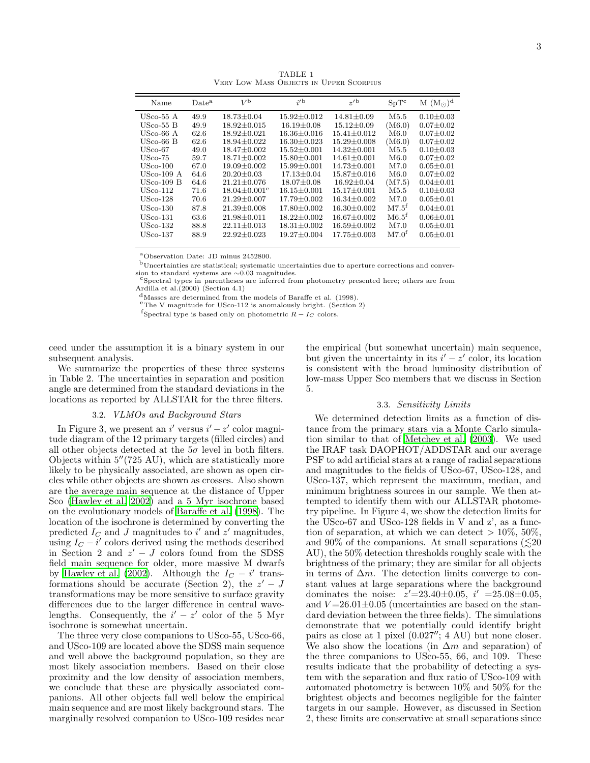| Name         | Date <sup>a</sup> | $V^{\rm b}$                    | $i^{\prime}$      | $\gamma$ <sup>b</sup> | $SpT^c$           | $M (M_{\odot})^d$ |
|--------------|-------------------|--------------------------------|-------------------|-----------------------|-------------------|-------------------|
| USco-55 A    | 49.9              | $18.73 \pm 0.04$               | $15.92 \pm 0.012$ | $14.81 + 0.09$        | M5.5              | $0.10 \pm 0.03$   |
| USco-55 B    | 49.9              | $18.92 + 0.015$                | $16.19 \pm 0.08$  | $15.12 \pm 0.09$      | (M6.0)            | $0.07 \pm 0.02$   |
| USco-66 A    | 62.6              | $18.92 \pm 0.021$              | $16.36 \pm 0.016$ | $15.41 \pm 0.012$     | M6.0              | $0.07 \pm 0.02$   |
| USco-66 B    | 62.6              | $18.94 + 0.022$                | $16.30 \pm 0.023$ | $15.29 \pm 0.008$     | (M6.0)            | $0.07 \pm 0.02$   |
| USco-67      | 49.0              | $18.47 + 0.002$                | $15.52 + 0.001$   | $14.32 + 0.001$       | M5.5              | $0.10 \pm 0.03$   |
| $USco-75$    | 59.7              | $18.71 \pm 0.002$              | $15.80 \pm 0.001$ | $14.61 \pm 0.001$     | M6.0              | $0.07 \pm 0.02$   |
| USco-100     | 67.0              | $19.09 + 0.002$                | $15.99 + 0.001$   | $14.73 + 0.001$       | M7.0              | $0.05 + 0.01$     |
| USco-109 A   | 64.6              | $20.20 + 0.03$                 | $17.13 + 0.04$    | $15.87 + 0.016$       | M6.0              | $0.07 + 0.02$     |
| $USco-109$ B | 64.6              | $21.21 \pm 0.076$              | $18.07 \pm 0.08$  | $16.92 \pm 0.04$      | (M7.5)            | $0.04 \pm 0.01$   |
| $USco-112$   | 71.6              | $18.04 \pm 0.001$ <sup>e</sup> | $16.15 \pm 0.001$ | $15.17 + 0.001$       | M5.5              | $0.10 \pm 0.03$   |
| USco-128     | 70.6              | $21.29 \pm 0.007$              | $17.79 \pm 0.002$ | $16.34 \pm 0.002$     | M7.0              | $0.05 \pm 0.01$   |
| $USco-130$   | 87.8              | $21.39 + 0.008$                | $17.80 \pm 0.002$ | $16.30 \pm 0.002$     | M7.5 <sup>f</sup> | $0.04 + 0.01$     |
| USco-131     | 63.6              | $21.98 + 0.011$                | $18.22 + 0.002$   | $16.67 + 0.002$       | M6.5 <sup>f</sup> | $0.06 \pm 0.01$   |
| USco-132     | 88.8              | $22.11 \pm 0.013$              | $18.31 \pm 0.002$ | $16.59 \pm 0.002$     | M7.0              | $0.05 \pm 0.01$   |
| USco-137     | 88.9              | $22.92 + 0.023$                | $19.27 + 0.004$   | $17.75 + 0.003$       | M7.0 <sup>f</sup> | $0.05 \pm 0.01$   |
|              |                   |                                |                   |                       |                   |                   |

TABLE 1 Very Low Mass Objects in Upper Scorpius

<sup>a</sup>Observation Date: JD minus 2452800.

<sup>b</sup>Uncertainties are statistical; systematic uncertainties due to aperture corrections and conversion to standard systems are ∼0.03 magnitudes.

 $\mathrm{c}^{\mathrm{c}}$  Spectral types in parentheses are inferred from photometry presented here; others are from Ardilla et al.(2000) (Section 4.1)

<sup>d</sup>Masses are determined from the models of Baraffe et al. (1998).

<sup>e</sup>The V magnitude for USco-112 is anomalously bright. (Section 2)

 $^{\rm f}$ Spectral type is based only on photometric  $R-I_C$  colors.

ceed under the assumption it is a binary system in our subsequent analysis.

 $\equiv$ 

We summarize the properties of these three systems in Table 2. The uncertainties in separation and position angle are determined from the standard deviations in the locations as reported by ALLSTAR for the three filters.

# 3.2. VLMOs and Background Stars

In Figure 3, we present an  $i'$  versus  $i' - z'$  color magnitude diagram of the 12 primary targets (filled circles) and all other objects detected at the  $5\sigma$  level in both filters. Objects within 5′′(725 AU), which are statistically more likely to be physically associated, are shown as open circles while other objects are shown as crosses. Also shown are the average main sequence at the distance of Upper Sco [\(Hawley et al. 2002\)](#page-5-28) and a 5 Myr isochrone based on the evolutionary models of [Baraffe et al. \(1998\)](#page-5-29). The location of the isochrone is determined by converting the predicted  $I_C$  and J magnitudes to i' and z' magnitudes, using  $I_C - i'$  colors derived using the methods described in Section 2 and  $z' - J$  colors found from the SDSS field main sequence for older, more massive M dwarfs by [Hawley et al. \(2002\)](#page-5-28). Although the  $I_C - i'$  transformations should be accurate (Section 2), the  $z' - J$ transformations may be more sensitive to surface gravity differences due to the larger difference in central wavelengths. Consequently, the  $i' - z'$  color of the 5 Myr isochrone is somewhat uncertain.

The three very close companions to USco-55, USco-66, and USco-109 are located above the SDSS main sequence and well above the background population, so they are most likely association members. Based on their close proximity and the low density of association members, we conclude that these are physically associated companions. All other objects fall well below the empirical main sequence and are most likely background stars. The marginally resolved companion to USco-109 resides near

the empirical (but somewhat uncertain) main sequence, but given the uncertainty in its  $i' - z'$  color, its location is consistent with the broad luminosity distribution of low-mass Upper Sco members that we discuss in Section 5.

### 3.3. Sensitivity Limits

We determined detection limits as a function of distance from the primary stars via a Monte Carlo simulation similar to that of [Metchev et al. \(2003\)](#page-5-30). We used the IRAF task DAOPHOT/ADDSTAR and our average PSF to add artificial stars at a range of radial separations and magnitudes to the fields of USco-67, USco-128, and USco-137, which represent the maximum, median, and minimum brightness sources in our sample. We then attempted to identify them with our ALLSTAR photometry pipeline. In Figure 4, we show the detection limits for the USco-67 and USco-128 fields in V and z', as a function of separation, at which we can detect  $> 10\%$ , 50%, and 90% of the companions. At small separations  $(\leq 20)$ AU), the 50% detection thresholds roughly scale with the brightness of the primary; they are similar for all objects in terms of  $\Delta m$ . The detection limits converge to constant values at large separations where the background dominates the noise:  $z' = 23.40 \pm 0.05$ ,  $i' = 25.08 \pm 0.05$ , and  $V = 26.01 \pm 0.05$  (uncertainties are based on the standard deviation between the three fields). The simulations demonstrate that we potentially could identify bright pairs as close at 1 pixel (0.027′′; 4 AU) but none closer. We also show the locations (in  $\Delta m$  and separation) of the three companions to USco-55, 66, and 109. These results indicate that the probability of detecting a system with the separation and flux ratio of USco-109 with automated photometry is between 10% and 50% for the brightest objects and becomes negligible for the fainter targets in our sample. However, as discussed in Section 2, these limits are conservative at small separations since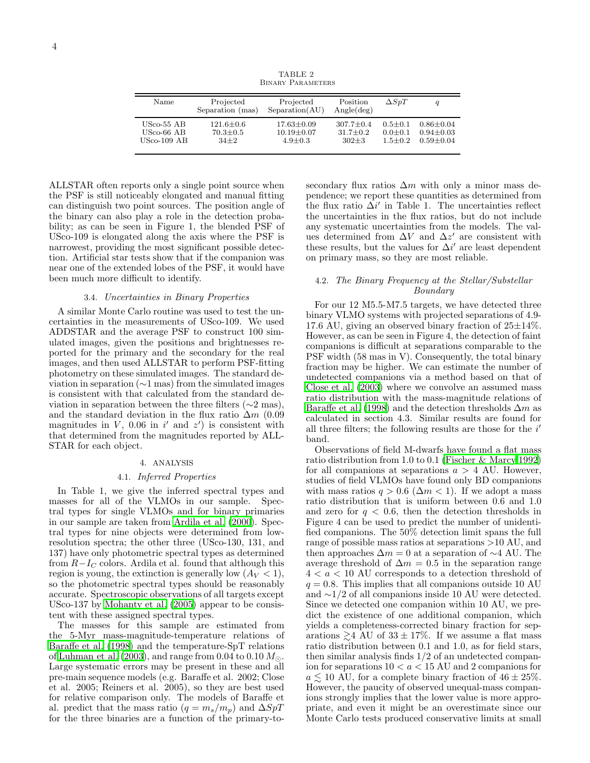TABLE 2 Binary Parameters

| Name          | Projected<br>Separation (mas) | Projected<br>Separation(AU) | Position<br>Angle(deg) | $\Delta SpT$ | q             |
|---------------|-------------------------------|-----------------------------|------------------------|--------------|---------------|
| $USco-55$ AB  | $121.6 \pm 0.6$               | $17.63 \pm 0.09$            | $307.7 \pm 0.4$        | $0.5 + 0.1$  | $0.86 + 0.04$ |
| $USco-66$ AB  | $70.3 \pm 0.5$                | $10.19 + 0.07$              | $31.7 + 0.2$           | $0.0 + 0.1$  | $0.94 + 0.03$ |
| $USco-109$ AB | $34+2$                        | $4.9 + 0.3$                 | $302 + 3$              | $1.5 + 0.2$  | $0.59 + 0.04$ |

ALLSTAR often reports only a single point source when the PSF is still noticeably elongated and manual fitting can distinguish two point sources. The position angle of the binary can also play a role in the detection probability; as can be seen in Figure 1, the blended PSF of USco-109 is elongated along the axis where the PSF is narrowest, providing the most significant possible detection. Artificial star tests show that if the companion was near one of the extended lobes of the PSF, it would have been much more difficult to identify.

## 3.4. Uncertainties in Binary Properties

A similar Monte Carlo routine was used to test the uncertainties in the measurements of USco-109. We used ADDSTAR and the average PSF to construct 100 simulated images, given the positions and brightnesses reported for the primary and the secondary for the real images, and then used ALLSTAR to perform PSF-fitting photometry on these simulated images. The standard deviation in separation (∼1 mas) from the simulated images is consistent with that calculated from the standard deviation in separation between the three filters ( $\sim$ 2 mas), and the standard deviation in the flux ratio  $\Delta m$  (0.09 magnitudes in V, 0.06 in  $i'$  and  $z'$ ) is consistent with that determined from the magnitudes reported by ALL-STAR for each object.

### 4. ANALYSIS

### 4.1. Inferred Properties

In Table 1, we give the inferred spectral types and masses for all of the VLMOs in our sample. Spectral types for single VLMOs and for binary primaries in our sample are taken from [Ardila et al. \(2000\)](#page-5-20). Spectral types for nine objects were determined from lowresolution spectra; the other three (USco-130, 131, and 137) have only photometric spectral types as determined from  $R-I<sub>C</sub>$  colors. Ardila et al. found that although this region is young, the extinction is generally low  $(A_V < 1)$ , so the photometric spectral types should be reasonably accurate. Spectroscopic observations of all targets except USco-137 by [Mohanty et al. \(2005](#page-5-7)) appear to be consistent with these assigned spectral types.

The masses for this sample are estimated from the 5-Myr mass-magnitude-temperature relations of [Baraffe et al. \(1998\)](#page-5-29) and the temperature-SpT relations of [Luhman et al. \(2003\)](#page-5-31), and range from 0.04 to 0.10  $M_{\odot}$ . Large systematic errors may be present in these and all pre-main sequence models (e.g. Baraffe et al. 2002; Close et al. 2005; Reiners et al. 2005), so they are best used for relative comparison only. The models of Baraffe et al. predict that the mass ratio  $(q = m_s/m_p)$  and  $\Delta SpT$ for the three binaries are a function of the primary-tosecondary flux ratios  $\Delta m$  with only a minor mass dependence; we report these quantities as determined from the flux ratio  $\Delta i'$  in Table 1. The uncertainties reflect the uncertainties in the flux ratios, but do not include any systematic uncertainties from the models. The values determined from  $\Delta V$  and  $\Delta z'$  are consistent with these results, but the values for  $\Delta i'$  are least dependent on primary mass, so they are most reliable.

# 4.2. The Binary Frequency at the Stellar/Substellar Boundary

For our 12 M5.5-M7.5 targets, we have detected three binary VLMO systems with projected separations of 4.9- 17.6 AU, giving an observed binary fraction of  $25\pm14\%$ . However, as can be seen in Figure 4, the detection of faint companions is difficult at separations comparable to the PSF width (58 mas in V). Consequently, the total binary fraction may be higher. We can estimate the number of undetected companions via a method based on that of [Close et al. \(2003\)](#page-5-12) where we convolve an assumed mass ratio distribution with the mass-magnitude relations of [Baraffe et al. \(1998\)](#page-5-29) and the detection thresholds  $\Delta m$  as calculated in section 4.3. Similar results are found for all three filters; the following results are those for the  $i'$ band.

Observations of field M-dwarfs have found a flat mass ratio distribution from 1.0 to 0.1 [\(Fischer & Marcy 1992](#page-5-18)) for all companions at separations  $a > 4$  AU. However, studies of field VLMOs have found only BD companions with mass ratios  $q > 0.6$  ( $\Delta m < 1$ ). If we adopt a mass ratio distribution that is uniform between 0.6 and 1.0 and zero for  $q < 0.6$ , then the detection thresholds in Figure 4 can be used to predict the number of unidentified companions. The 50% detection limit spans the full range of possible mass ratios at separations >10 AU, and then approaches  $\Delta m = 0$  at a separation of  $\sim$ 4 AU. The average threshold of  $\Delta m = 0.5$  in the separation range  $4 < a < 10$  AU corresponds to a detection threshold of  $q = 0.8$ . This implies that all companions outside 10 AU and ∼1/2 of all companions inside 10 AU were detected. Since we detected one companion within 10 AU, we predict the existence of one additional companion, which yields a completeness-corrected binary fraction for separations  $\geq 4$  AU of  $33 \pm 17\%$ . If we assume a flat mass ratio distribution between 0.1 and 1.0, as for field stars, then similar analysis finds  $1/2$  of an undetected companion for separations  $10 < a < 15$  AU and 2 companions for  $a \lesssim 10$  AU, for a complete binary fraction of  $46 \pm 25\%$ . However, the paucity of observed unequal-mass companions strongly implies that the lower value is more appropriate, and even it might be an overestimate since our Monte Carlo tests produced conservative limits at small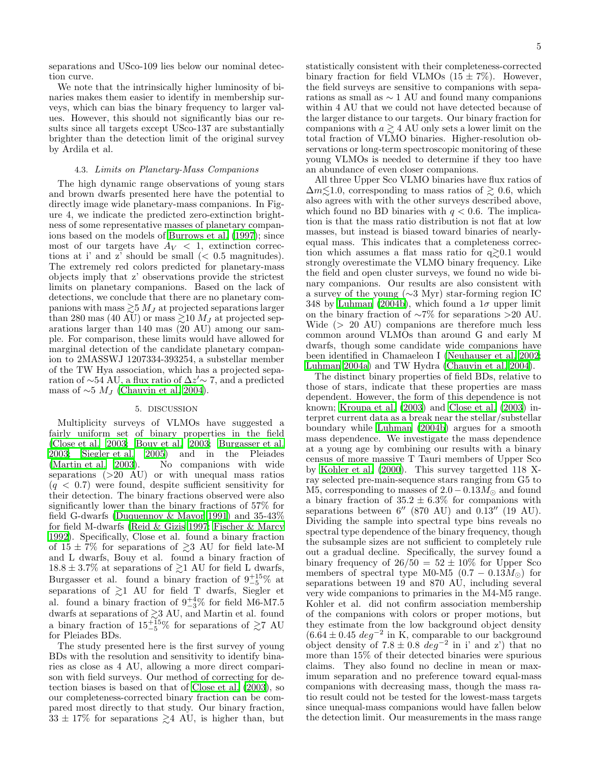separations and USco-109 lies below our nominal detection curve.

We note that the intrinsically higher luminosity of binaries makes them easier to identify in membership surveys, which can bias the binary frequency to larger values. However, this should not significantly bias our results since all targets except USco-137 are substantially brighter than the detection limit of the original survey by Ardila et al.

#### 4.3. Limits on Planetary-Mass Companions

The high dynamic range observations of young stars and brown dwarfs presented here have the potential to directly image wide planetary-mass companions. In Figure 4, we indicate the predicted zero-extinction brightness of some representative masses of planetary companions based on the models of [Burrows et al. \(1997](#page-5-32)); since most of our targets have  $A_V < 1$ , extinction corrections at i' and z' should be small  $( $0.5$  magnitudes).$ The extremely red colors predicted for planetary-mass objects imply that z' observations provide the strictest limits on planetary companions. Based on the lack of detections, we conclude that there are no planetary companions with mass  $\geq 5$  M<sub>J</sub> at projected separations larger than 280 mas (40 AU) or mass  $\gtrsim$ 10  $M_J$  at projected separations larger than 140 mas (20 AU) among our sample. For comparison, these limits would have allowed for marginal detection of the candidate planetary companion to 2MASSWJ 1207334-393254, a substellar member of the TW Hya association, which has a projected separation of  $\sim$ 54 AU, a flux ratio of  $\Delta z' \sim 7$ , and a predicted mass of  $\sim$ 5  $M_J$  [\(Chauvin et al. 2004\)](#page-5-33).

#### 5. DISCUSSION

Multiplicity surveys of VLMOs have suggested a fairly uniform set of binary properties in the field [\(Close et al. 2003;](#page-5-12) [Bouy et al. 2003;](#page-5-13) [Burgasser et al.](#page-5-9) [2003;](#page-5-9) [Siegler et al. 2005\)](#page-5-15) and in the Pleiades [\(Martin et al. 2003\)](#page-5-34). No companions with wide separations (>20 AU) or with unequal mass ratios  $(q < 0.7)$  were found, despite sufficient sensitivity for their detection. The binary fractions observed were also significantly lower than the binary fractions of 57% for field G-dwarfs [\(Duquennoy & Mayor 1991\)](#page-5-17) and 35-43% for field M-dwarfs [\(Reid & Gizis 1997;](#page-5-35) [Fischer & Marcy](#page-5-18) [1992\)](#page-5-18). Specifically, Close et al. found a binary fraction of  $15 \pm 7\%$  for separations of  $\geq 3$  AU for field late-M and L dwarfs, Bouy et al. found a binary fraction of  $18.8 \pm 3.7\%$  at separations of  $\geq 1$  AU for field L dwarfs, Burgasser et al. found a binary fraction of  $9^{+15}_{-5}\%$  at separations of  $\gtrsim$ 1 AU for field T dwarfs, Siegler et al. found a binary fraction of  $9^{+4}_{-3}\%$  for field M6-M7.5 dwarfs at separations of  $\gtrsim$ 3 AU, and Martin et al. found a binary fraction of  $15^{+15}_{-5}\%$  for separations of  $\gtrsim7$  AU for Pleiades BDs.

The study presented here is the first survey of young BDs with the resolution and sensitivity to identify binaries as close as 4 AU, allowing a more direct comparison with field surveys. Our method of correcting for detection biases is based on that of [Close et al. \(2003\)](#page-5-12), so our completeness-corrected binary fraction can be compared most directly to that study. Our binary fraction,  $33 \pm 17\%$  for separations  $\geq 4$  AU, is higher than, but

statistically consistent with their completeness-corrected binary fraction for field VLMOs  $(15 \pm 7\%)$ . However, the field surveys are sensitive to companions with separations as small as ∼ 1 AU and found many companions within 4 AU that we could not have detected because of the larger distance to our targets. Our binary fraction for companions with  $a \geq 4$  AU only sets a lower limit on the total fraction of VLMO binaries. Higher-resolution observations or long-term spectroscopic monitoring of these young VLMOs is needed to determine if they too have an abundance of even closer companions.

All three Upper Sco VLMO binaries have flux ratios of  $\Delta m \lesssim 1.0$ , corresponding to mass ratios of  $\gtrsim 0.6$ , which also agrees with with the other surveys described above, which found no BD binaries with  $q < 0.6$ . The implication is that the mass ratio distribution is not flat at low masses, but instead is biased toward binaries of nearlyequal mass. This indicates that a completeness correction which assumes a flat mass ratio for  $q \gtrsim 0.1$  would strongly overestimate the VLMO binary frequency. Like the field and open cluster surveys, we found no wide binary companions. Our results are also consistent with a survey of the young (∼3 Myr) star-forming region IC 348 by [Luhman \(2004b](#page-5-0)), which found a  $1\sigma$  upper limit on the binary fraction of ∼7% for separations >20 AU. Wide (> 20 AU) companions are therefore much less common around VLMOs than around G and early M dwarfs, though some candidate wide companions have been identified in Chamaeleon I [\(Neuhauser et al. 2002](#page-5-36); [Luhman 2004a\)](#page-5-37) and TW Hydra [\(Chauvin et al. 2004](#page-5-33)).

The distinct binary properties of field BDs, relative to those of stars, indicate that these properties are mass dependent. However, the form of this dependence is not known; [Kroupa et al. \(2003\)](#page-5-38) and [Close et al. \(2003\)](#page-5-12) interpret current data as a break near the stellar/substellar boundary while [Luhman \(2004b](#page-5-0)) argues for a smooth mass dependence. We investigate the mass dependence at a young age by combining our results with a binary census of more massive T Tauri members of Upper Sco by [Kohler et al. \(2000\)](#page-5-39). This survey targetted 118 Xray selected pre-main-sequence stars ranging from G5 to M5, corresponding to masses of  $2.0 - 0.13 M_{\odot}$  and found a binary fraction of  $35.2 \pm 6.3\%$  for companions with separations between  $6''$  (870 AU) and 0.13<sup> $''$ </sup> (19 AU). Dividing the sample into spectral type bins reveals no spectral type dependence of the binary frequency, though the subsample sizes are not sufficient to completely rule out a gradual decline. Specifically, the survey found a binary frequency of  $26/50 = 52 \pm 10\%$  for Upper Sco members of spectral type M0-M5  $(0.7 - 0.13M_{\odot})$  for separations between 19 and 870 AU, including several very wide companions to primaries in the M4-M5 range. Kohler et al. did not confirm association membership of the companions with colors or proper motions, but they estimate from the low background object density  $(6.\dot{6}4 \pm 0.45 \text{ deg}^{-2} \text{ in K}, \text{ comparable to our background})$ object density of  $7.8 \pm 0.8$  deg<sup>-2</sup> in i' and z') that no more than 15% of their detected binaries were spurious claims. They also found no decline in mean or maximum separation and no preference toward equal-mass companions with decreasing mass, though the mass ratio result could not be tested for the lowest-mass targets since unequal-mass companions would have fallen below the detection limit. Our measurements in the mass range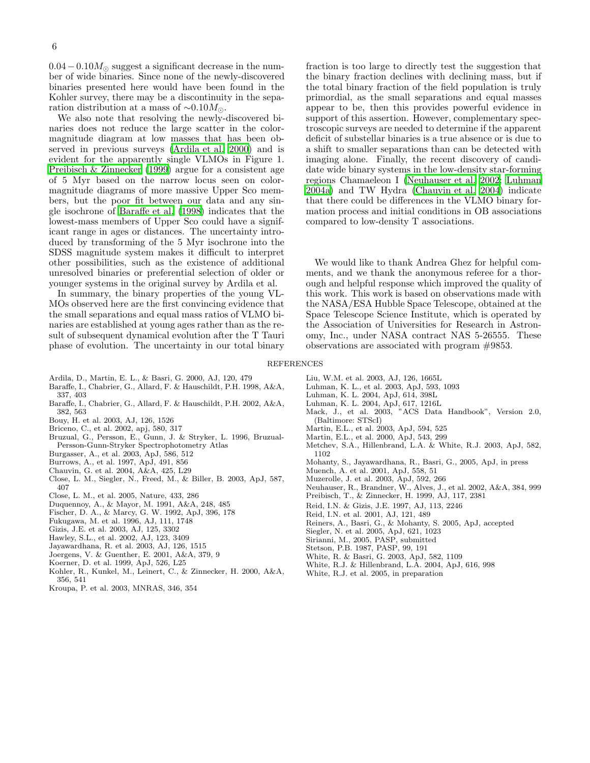$0.04-0.10M_{\odot}$  suggest a significant decrease in the number of wide binaries. Since none of the newly-discovered binaries presented here would have been found in the Kohler survey, there may be a discontinuity in the separation distribution at a mass of  $\sim 0.10 M_{\odot}$ .

We also note that resolving the newly-discovered binaries does not reduce the large scatter in the colormagnitude diagram at low masses that has been observed in previous surveys [\(Ardila et al. 2000\)](#page-5-20) and is evident for the apparently single VLMOs in Figure 1. [Preibisch & Zinnecker \(1999](#page-5-19)) argue for a consistent age of 5 Myr based on the narrow locus seen on colormagnitude diagrams of more massive Upper Sco members, but the poor fit between our data and any single isochrone of [Baraffe et al.](#page-5-29) [\(1998\)](#page-5-29) indicates that the lowest-mass members of Upper Sco could have a significant range in ages or distances. The uncertainty introduced by transforming of the 5 Myr isochrone into the SDSS magnitude system makes it difficult to interpret other possibilities, such as the existence of additional unresolved binaries or preferential selection of older or younger systems in the original survey by Ardila et al.

In summary, the binary properties of the young VL-MOs observed here are the first convincing evidence that the small separations and equal mass ratios of VLMO binaries are established at young ages rather than as the result of subsequent dynamical evolution after the T Tauri phase of evolution. The uncertainty in our total binary

fraction is too large to directly test the suggestion that the binary fraction declines with declining mass, but if the total binary fraction of the field population is truly primordial, as the small separations and equal masses appear to be, then this provides powerful evidence in support of this assertion. However, complementary spectroscopic surveys are needed to determine if the apparent deficit of substellar binaries is a true absence or is due to a shift to smaller separations than can be detected with imaging alone. Finally, the recent discovery of candidate wide binary systems in the low-density star-forming regions Chamaeleon I [\(Neuhauser et al. 2002;](#page-5-36) [Luhman](#page-5-37) [2004a\)](#page-5-37) and TW Hydra [\(Chauvin et al. 2004\)](#page-5-33) indicate that there could be differences in the VLMO binary formation process and initial conditions in OB associations compared to low-density T associations.

We would like to thank Andrea Ghez for helpful comments, and we thank the anonymous referee for a thorough and helpful response which improved the quality of this work. This work is based on observations made with the NASA/ESA Hubble Space Telescope, obtained at the Space Telescope Science Institute, which is operated by the Association of Universities for Research in Astronomy, Inc., under NASA contract NAS 5-26555. These observations are associated with program #9853.

#### <span id="page-5-37"></span><span id="page-5-34"></span><span id="page-5-31"></span><span id="page-5-23"></span><span id="page-5-6"></span><span id="page-5-0"></span>**REFERENCES**

- <span id="page-5-29"></span><span id="page-5-20"></span>Ardila, D., Martin, E. L., & Basri, G. 2000, AJ, 120, 479
- Baraffe, I., Chabrier, G., Allard, F. & Hauschildt, P.H. 1998, A&A, 337, 403
- Baraffe, I., Chabrier, G., Allard, F. & Hauschildt, P.H. 2002, A&A, 382, 563
- <span id="page-5-13"></span>Bouy, H. et al. 2003, AJ, 126, 1526
- <span id="page-5-1"></span>Briceno, C., et al. 2002, apj, 580, 317
- <span id="page-5-27"></span>Bruzual, G., Persson, E., Gunn, J. & Stryker, L. 1996, Bruzual-Persson-Gunn-Stryker Spectrophotometry Atlas
- <span id="page-5-9"></span>Burgasser, A., et al. 2003, ApJ, 586, 512
- <span id="page-5-32"></span>Burrows, A., et al. 1997, ApJ, 491, 856
- <span id="page-5-33"></span>Chauvin, G. et al. 2004, A&A, 425, L29
- <span id="page-5-12"></span>Close, L. M., Siegler, N., Freed, M., & Biller, B. 2003, ApJ, 587, 407
- Close, L. M., et al. 2005, Nature, 433, 286
- <span id="page-5-17"></span>Duquennoy, A., & Mayor, M. 1991, A&A, 248, 485
- <span id="page-5-18"></span>Fischer, D. A., & Marcy, G. W. 1992, ApJ, 396, 178
- <span id="page-5-26"></span>Fukugawa, M. et al. 1996, AJ, 111, 1748
- <span id="page-5-14"></span>Gizis, J.E. et al. 2003, AJ, 125, 3302
- <span id="page-5-28"></span>Hawley, S.L., et al. 2002, AJ, 123, 3409
- <span id="page-5-5"></span>Jayawardhana, R. et al. 2003, AJ, 126, 1515
- <span id="page-5-2"></span>Joergens, V. & Guenther, E. 2001, A&A, 379, 9
- <span id="page-5-10"></span>Koerner, D. et al. 1999, ApJ, 526, L25
- <span id="page-5-39"></span>Kohler, R., Kunkel, M., Leinert, C., & Zinnecker, H. 2000, A&A, 356, 541
- <span id="page-5-38"></span>Kroupa, P. et al. 2003, MNRAS, 346, 354
- Liu, W.M. et al. 2003, AJ, 126, 1665L
- Luhman, K. L., et al. 2003, ApJ, 593, 1093
- Luhman, K. L. 2004, ApJ, 614, 398L
- Luhman, K. L. 2004, ApJ, 617, 1216L
- Mack, J., et al. 2003, "ACS Data Handbook", Version 2.0, (Baltimore: STScI)
- <span id="page-5-16"></span>Martin, E.L., et al. 2003, ApJ, 594, 525
- Martin, E.L., et al. 2000, ApJ, 543, 299
- <span id="page-5-30"></span>Metchev, S.A., Hillenbrand, L.A. & White, R.J. 2003, ApJ, 582, 1102
- Mohanty, S., Jayawardhana, R., Basri, G., 2005, ApJ, in press
- <span id="page-5-7"></span><span id="page-5-4"></span>Muench, A. et al. 2001, ApJ, 558, 51
- Muzerolle, J. et al. 2003, ApJ, 592, 266
- <span id="page-5-36"></span><span id="page-5-21"></span><span id="page-5-19"></span>Neuhauser, R., Brandner, W., Alves, J., et al. 2002, A&A, 384, 999
- Preibisch, T., & Zinnecker, H. 1999, AJ, 117, 2381
- <span id="page-5-35"></span>Reid, I.N. & Gizis, J.E. 1997, AJ, 113, 2246
- Reid, I.N. et al. 2001, AJ, 121, 489
- <span id="page-5-15"></span><span id="page-5-11"></span>Reiners, A., Basri, G., & Mohanty, S. 2005, ApJ, accepted
- Siegler, N. et al. 2005, ApJ, 621, 1023
- Sirianni, M., 2005, PASP, submitted
- <span id="page-5-25"></span><span id="page-5-24"></span>Stetson, P.B. 1987, PASP, 99, 191
- White, R. & Basri, G. 2003, ApJ, 582, 1109
- <span id="page-5-8"></span><span id="page-5-3"></span>White, R.J. & Hillenbrand, L.A. 2004, ApJ, 616, 998
- <span id="page-5-22"></span>White, R.J. et al. 2005, in preparation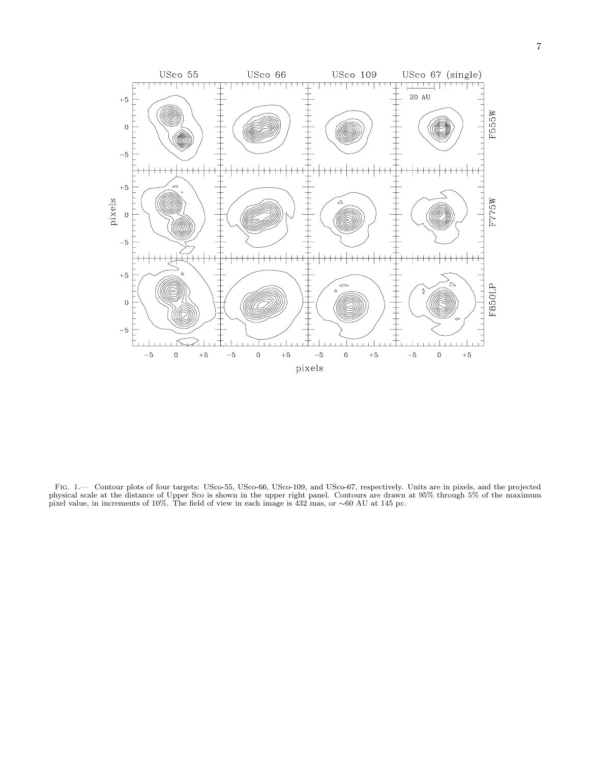

Fig. 1.— Contour plots of four targets: USco-55, USco-66, USco-109, and USco-67, respectively. Units are in pixels, and the projected physical scale at the distance of Upper Sco is shown in the upper right panel. Contours are drawn at 95% through 5% of the maximum<br>pixel value, in increments of 10%. The field of view in each image is 432 mas, or ~60 AU at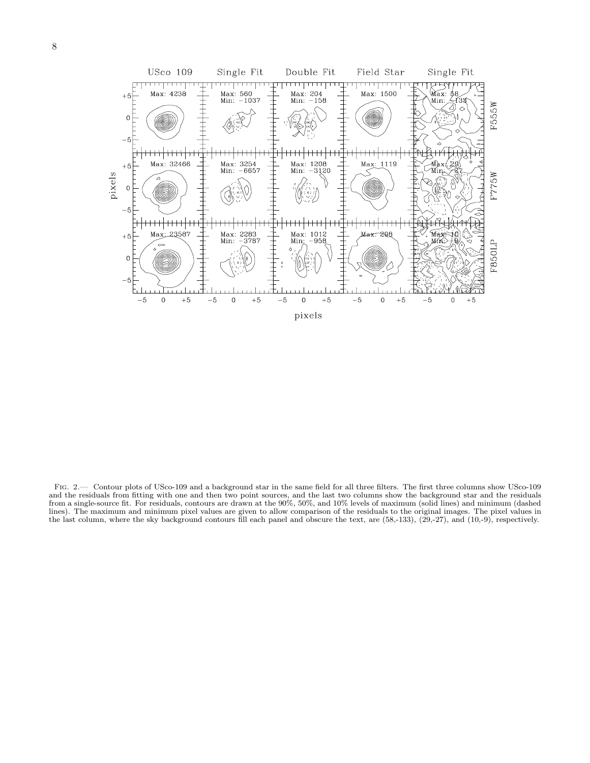

Fig. 2.— Contour plots of USco-109 and a background star in the same field for all three filters. The first three columns show USco-109 and the residuals from fitting with one and then two point sources, and the last two columns show the background star and the residuals from a single-source fit. For residuals, contours are drawn at the 90%, 50%, and 10% levels of maximum (solid lines) and minimum (dashed lines). The maximum and minimum pixel values are given to allow comparison of the residuals to the original images. The pixel values in the last column, where the sky background contours fill each panel and obscure the text, are (58,-133), (29,-27), and (10,-9), respectively.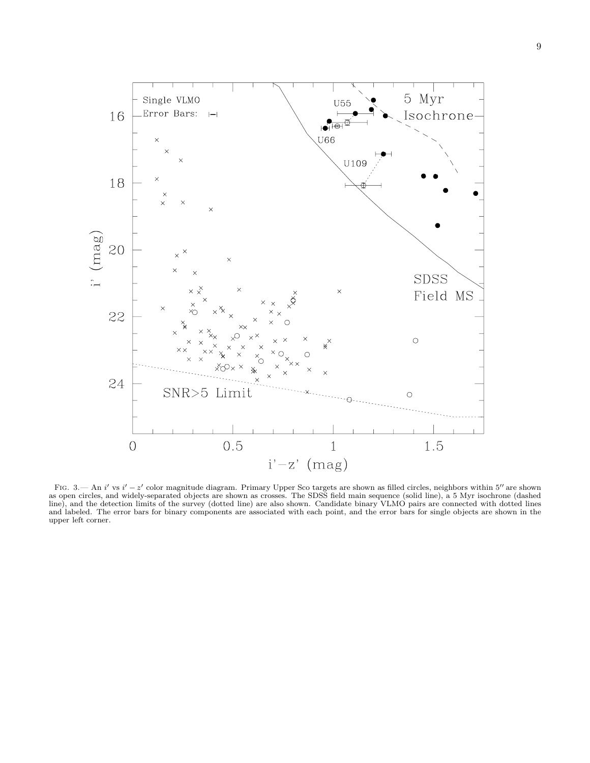

FIG.  $3$ — An i' vs i' - z' color magnitude diagram. Primary Upper Sco targets are shown as filled circles, neighbors within  $5''$  are shown as open circles, and widely-separated objects are shown as crosses. The SDSS field main sequence (solid line), a 5 Myr isochrone (dashed line), and the detection limits of the survey (dotted line) are also shown. Candidate binary VLMO pairs are connected with dotted lines and labeled. The error bars for binary components are associated with each point, and the error bars for single objects are shown in the upper left corner.